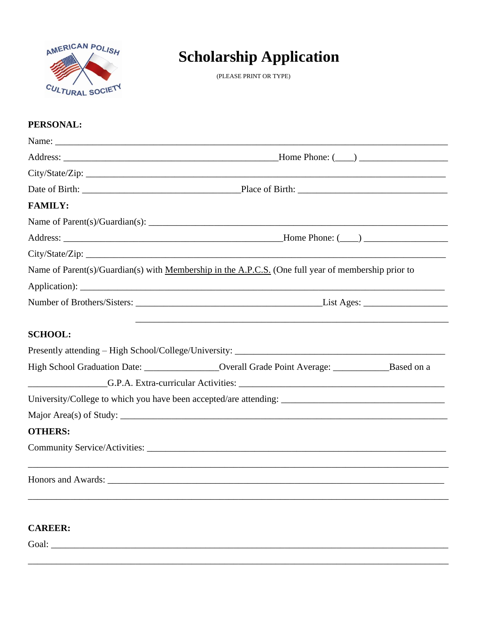

# **Scholarship Application**

(PLEASE PRINT OR TYPE)

### PERSONAL:

| <b>FAMILY:</b> |                                                                                                      |  |
|----------------|------------------------------------------------------------------------------------------------------|--|
|                |                                                                                                      |  |
|                |                                                                                                      |  |
|                |                                                                                                      |  |
|                | Name of Parent(s)/Guardian(s) with Membership in the A.P.C.S. (One full year of membership prior to  |  |
|                |                                                                                                      |  |
|                |                                                                                                      |  |
| <b>SCHOOL:</b> |                                                                                                      |  |
|                |                                                                                                      |  |
|                | High School Graduation Date: __________________Overall Grade Point Average: ______________Based on a |  |
|                |                                                                                                      |  |
|                |                                                                                                      |  |
|                |                                                                                                      |  |
| <b>OTHERS:</b> |                                                                                                      |  |
|                |                                                                                                      |  |
|                |                                                                                                      |  |
|                |                                                                                                      |  |
|                |                                                                                                      |  |

Goal: Contract Contract Contract Contract Contract Contract Contract Contract Contract Contract Contract Contract Contract Contract Contract Contract Contract Contract Contract Contract Contract Contract Contract Contract

**CAREER:**